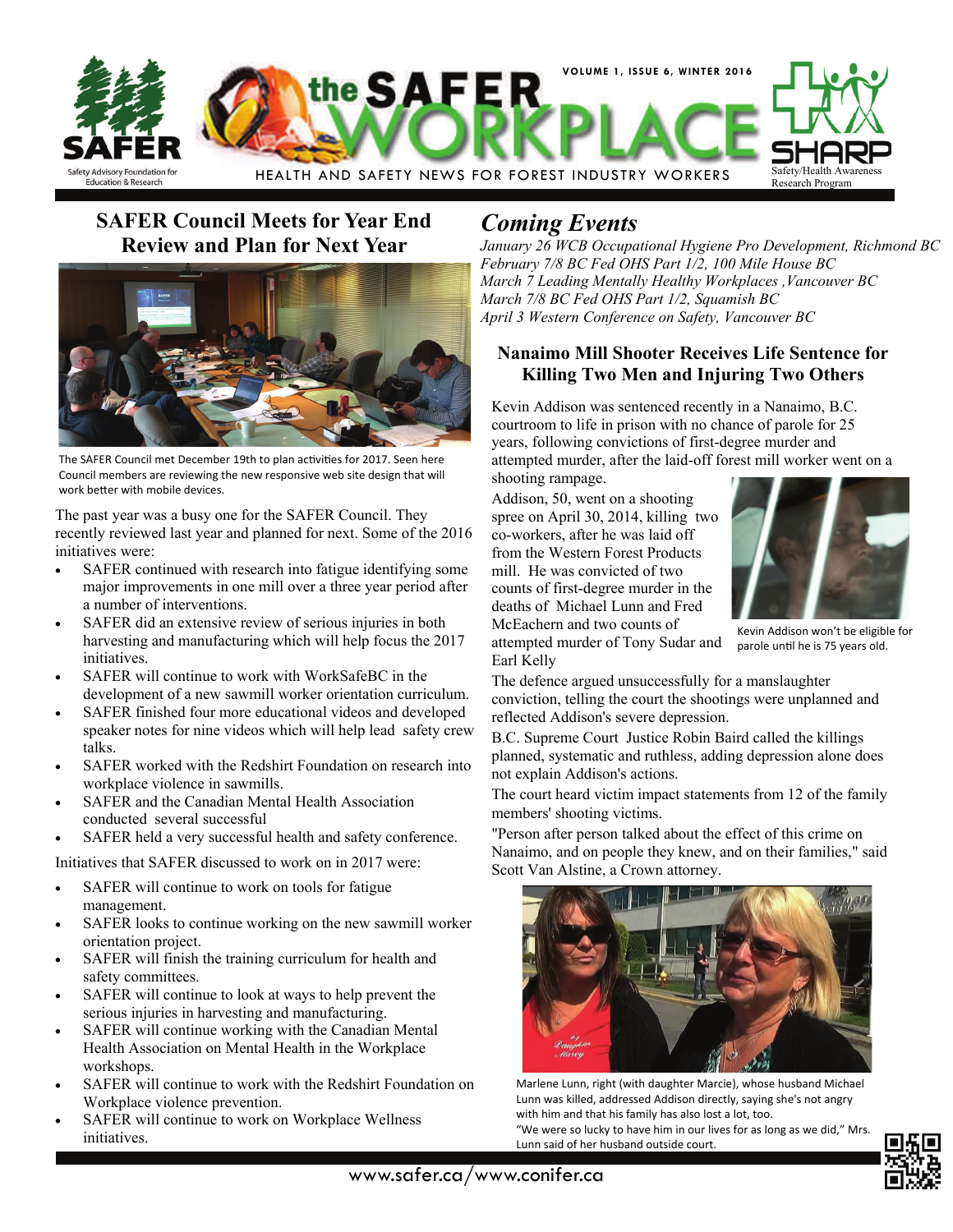

## **SAFER Council Meets for Year End Review and Plan for Next Year**



The SAFER Council met December 19th to plan activities for 2017. Seen here Council members are reviewing the new responsive web site design that will work better with mobile devices.

The past year was a busy one for the SAFER Council. They recently reviewed last year and planned for next. Some of the 2016 initiatives were:

- SAFER continued with research into fatigue identifying some major improvements in one mill over a three year period after a number of interventions.
- SAFER did an extensive review of serious injuries in both harvesting and manufacturing which will help focus the 2017 initiatives.
- SAFER will continue to work with WorkSafeBC in the development of a new sawmill worker orientation curriculum.
- SAFER finished four more educational videos and developed speaker notes for nine videos which will help lead safety crew talks.
- SAFER worked with the Redshirt Foundation on research into workplace violence in sawmills.
- SAFER and the Canadian Mental Health Association conducted several successful
- SAFER held a very successful health and safety conference.

Initiatives that SAFER discussed to work on in 2017 were:

- SAFER will continue to work on tools for fatigue management.
- SAFER looks to continue working on the new sawmill worker orientation project.
- SAFER will finish the training curriculum for health and safety committees.
- SAFER will continue to look at ways to help prevent the serious injuries in harvesting and manufacturing.
- SAFER will continue working with the Canadian Mental Health Association on Mental Health in the Workplace workshops.
- SAFER will continue to work with the Redshirt Foundation on Workplace violence prevention.
- SAFER will continue to work on Workplace Wellness initiatives.

# *Coming Events*

*January 26 WCB Occupational Hygiene Pro Development, Richmond BC February 7/8 BC Fed OHS Part 1/2, 100 Mile House BC March 7 Leading Mentally Healthy Workplaces ,Vancouver BC March 7/8 BC Fed OHS Part 1/2, Squamish BC April 3 Western Conference on Safety, Vancouver BC* 

#### **Nanaimo Mill Shooter Receives Life Sentence for Killing Two Men and Injuring Two Others**

Kevin Addison was sentenced recently in a Nanaimo, B.C. courtroom to life in prison with no chance of parole for 25 years, following convictions of first-degree murder and attempted murder, after the laid-off forest mill worker went on a shooting rampage.

Addison, 50, went on a shooting spree on April 30, 2014, killing two co-workers, after he was laid off from the Western Forest Products mill. He was convicted of two counts of first-degree murder in the deaths of Michael Lunn and Fred McEachern and two counts of attempted murder of Tony Sudar and



Kevin Addison won't be eligible for parole until he is 75 years old.

Earl Kelly The defence argued unsuccessfully for a manslaughter

conviction, telling the court the shootings were unplanned and reflected Addison's severe depression.

B.C. Supreme Court Justice Robin Baird called the killings planned, systematic and ruthless, adding depression alone does not explain Addison's actions.

The court heard victim impact statements from 12 of the family members' shooting victims.

"Person after person talked about the effect of this crime on Nanaimo, and on people they knew, and on their families," said Scott Van Alstine, a Crown attorney.



Marlene Lunn, right (with daughter Marcie), whose husband Michael Lunn was killed, addressed Addison directly, saying she's not angry with him and that his family has also lost a lot, too.

"We were so lucky to have him in our lives for as long as we did," Mrs. Lunn said of her husband outside court.